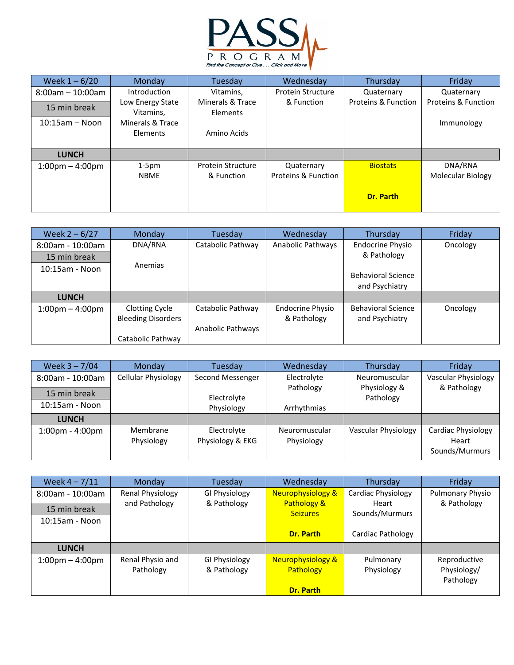

| Week $1 - 6/20$                   | <b>Monday</b>                 | Tuesday                      | Wednesday           | Thursday            | Friday                         |
|-----------------------------------|-------------------------------|------------------------------|---------------------|---------------------|--------------------------------|
| $8:00$ am - 10:00am               | Introduction                  | Vitamins,                    | Protein Structure   | Quaternary          | Quaternary                     |
| 15 min break                      | Low Energy State<br>Vitamins, | Minerals & Trace<br>Elements | & Function          | Proteins & Function | <b>Proteins &amp; Function</b> |
| $10:15$ am — Noon                 | Minerals & Trace              |                              |                     |                     | Immunology                     |
|                                   | Elements                      | Amino Acids                  |                     |                     |                                |
|                                   |                               |                              |                     |                     |                                |
| <b>LUNCH</b>                      |                               |                              |                     |                     |                                |
| $1:00 \text{pm} - 4:00 \text{pm}$ | $1-5pm$                       | Protein Structure            | Quaternary          | <b>Biostats</b>     | DNA/RNA                        |
|                                   | <b>NBME</b>                   | & Function                   | Proteins & Function |                     | <b>Molecular Biology</b>       |
|                                   |                               |                              |                     | Dr. Parth           |                                |

| Week $2 - 6/27$                   | Monday                    | Tuesday           | Wednesday               | Thursday                  | Friday   |
|-----------------------------------|---------------------------|-------------------|-------------------------|---------------------------|----------|
| 8:00am - 10:00am                  | DNA/RNA                   | Catabolic Pathway | Anabolic Pathways       | <b>Endocrine Physio</b>   | Oncology |
| 15 min break                      |                           |                   |                         | & Pathology               |          |
| $10:15$ am - Noon                 | Anemias                   |                   |                         |                           |          |
|                                   |                           |                   |                         | <b>Behavioral Science</b> |          |
|                                   |                           |                   |                         | and Psychiatry            |          |
| <b>LUNCH</b>                      |                           |                   |                         |                           |          |
| $1:00 \text{pm} - 4:00 \text{pm}$ | Clotting Cycle            | Catabolic Pathway | <b>Endocrine Physio</b> | <b>Behavioral Science</b> | Oncology |
|                                   | <b>Bleeding Disorders</b> |                   | & Pathology             | and Psychiatry            |          |
|                                   |                           | Anabolic Pathways |                         |                           |          |
|                                   | Catabolic Pathway         |                   |                         |                           |          |

| Week $3 - 7/04$                   | Monday                     | Tuesday                         | Wednesday                   | Thursday                  | Friday                                        |
|-----------------------------------|----------------------------|---------------------------------|-----------------------------|---------------------------|-----------------------------------------------|
| 8:00am - 10:00am                  | <b>Cellular Physiology</b> | Second Messenger                | Electrolyte                 | Neuromuscular             | <b>Vascular Physiology</b>                    |
| 15 min break                      |                            | Electrolyte                     | Pathology                   | Physiology &<br>Pathology | & Pathology                                   |
| $10:15$ am - Noon                 |                            | Physiology                      | Arrhythmias                 |                           |                                               |
| <b>LUNCH</b>                      |                            |                                 |                             |                           |                                               |
| $1:00 \text{pm} - 4:00 \text{pm}$ | Membrane<br>Physiology     | Electrolyte<br>Physiology & EKG | Neuromuscular<br>Physiology | Vascular Physiology       | Cardiac Physiology<br>Heart<br>Sounds/Murmurs |

| Week $4 - 7/11$                   | <b>Monday</b>    | Tuesday              | Wednesday                      | Thursday                | Friday           |
|-----------------------------------|------------------|----------------------|--------------------------------|-------------------------|------------------|
| $8:00$ am - 10:00am               | Renal Physiology | GI Physiology        | <b>Neurophysiology &amp;</b>   | Cardiac Physiology      | Pulmonary Physio |
| 15 min break                      | and Pathology    | & Pathology          | Pathology &<br><b>Seizures</b> | Heart<br>Sounds/Murmurs | & Pathology      |
| $10:15am - Noon$                  |                  |                      |                                |                         |                  |
|                                   |                  |                      | Dr. Parth                      | Cardiac Pathology       |                  |
| <b>LUNCH</b>                      |                  |                      |                                |                         |                  |
| $1:00 \text{pm} - 4:00 \text{pm}$ | Renal Physio and | <b>GI Physiology</b> | <b>Neurophysiology &amp;</b>   | Pulmonary               | Reproductive     |
|                                   | Pathology        | & Pathology          | Pathology                      | Physiology              | Physiology/      |
|                                   |                  |                      |                                |                         | Pathology        |
|                                   |                  |                      | <b>Dr. Parth</b>               |                         |                  |